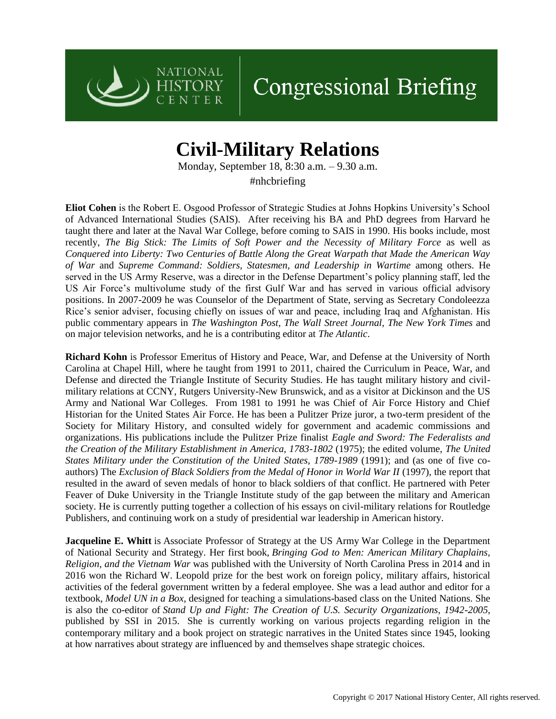

## **Congressional Briefing**

## **Civil-Military Relations**

Monday, September 18, 8:30 a.m. – 9.30 a.m.

#nhcbriefing

**Eliot Cohen** is the Robert E. Osgood Professor of Strategic Studies at Johns Hopkins University's School of Advanced International Studies (SAIS). After receiving his BA and PhD degrees from Harvard he taught there and later at the Naval War College, before coming to SAIS in 1990. His books include, most recently, *The Big Stick: The Limits of Soft Power and the Necessity of Military Force* as well as *Conquered into Liberty: Two Centuries of Battle Along the Great Warpath that Made the American Way of War* and *Supreme Command: Soldiers, Statesmen, and Leadership in Wartime* among others. He served in the US Army Reserve, was a director in the Defense Department's policy planning staff, led the US Air Force's multivolume study of the first Gulf War and has served in various official advisory positions. In 2007-2009 he was Counselor of the Department of State, serving as Secretary Condoleezza Rice's senior adviser, focusing chiefly on issues of war and peace, including Iraq and Afghanistan. His public commentary appears in *The Washington Post*, *The Wall Street Journal*, *The New York Times* and on major television networks, and he is a contributing editor at *The Atlantic*.

**Richard Kohn** is Professor Emeritus of History and Peace, War, and Defense at the University of North Carolina at Chapel Hill, where he taught from 1991 to 2011, chaired the Curriculum in Peace, War, and Defense and directed the Triangle Institute of Security Studies. He has taught military history and civilmilitary relations at CCNY, Rutgers University-New Brunswick, and as a visitor at Dickinson and the US Army and National War Colleges. From 1981 to 1991 he was Chief of Air Force History and Chief Historian for the United States Air Force. He has been a Pulitzer Prize juror, a two-term president of the Society for Military History, and consulted widely for government and academic commissions and organizations. His publications include the Pulitzer Prize finalist *Eagle and Sword: The Federalists and the Creation of the Military Establishment in America, 1783-1802* (1975); the edited volume, *The United States Military under the Constitution of the United States, 1789-1989* (1991); and (as one of five coauthors) The *Exclusion of Black Soldiers from the Medal of Honor in World War II* (1997), the report that resulted in the award of seven medals of honor to black soldiers of that conflict. He partnered with Peter Feaver of Duke University in the Triangle Institute study of the gap between the military and American society. He is currently putting together a collection of his essays on civil-military relations for Routledge Publishers, and continuing work on a study of presidential war leadership in American history.

**Jacqueline E. Whitt** is Associate Professor of Strategy at the US Army War College in the Department of National Security and Strategy. Her first book, *Bringing God to Men: American Military Chaplains, Religion, and the Vietnam War* was published with the University of North Carolina Press in 2014 and in 2016 won the Richard W. Leopold prize for the best work on foreign policy, military affairs, historical activities of the federal government written by a federal employee. She was a lead author and editor for a textbook, *Model UN in a Box,* designed for teaching a simulations-based class on the United Nations. She is also the co-editor of *Stand Up and Fight: The Creation of U.S. Security Organizations, 1942-2005*, published by SSI in 2015. She is currently working on various projects regarding religion in the contemporary military and a book project on strategic narratives in the United States since 1945, looking at how narratives about strategy are influenced by and themselves shape strategic choices.